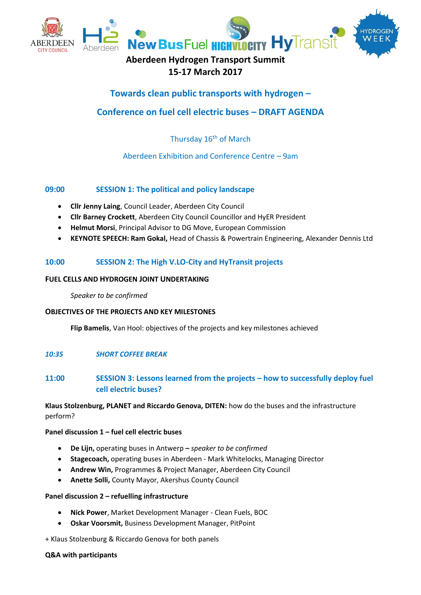

# **15-17 March 2017**

# **Towards clean public transports with hydrogen –**

# **Conference on fuel cell electric buses – DRAFT AGENDA**

## Thursday 16<sup>th</sup> of March

## Aberdeen Exhibition and Conference Centre – 9am

## **09:00 SESSION 1: The political and policy landscape**

- **Cllr Jenny Laing**, Council Leader, Aberdeen City Council
- **Cllr Barney Crockett**, Aberdeen City Council Councillor and HyER President
- **Helmut Morsi**, Principal Advisor to DG Move, European Commission
- **KEYNOTE SPEECH: Ram Gokal,** Head of Chassis & Powertrain Engineering, Alexander Dennis Ltd

## **10:00 SESSION 2: The High V.LO-City and HyTransit projects**

## **FUEL CELLS AND HYDROGEN JOINT UNDERTAKING**

*Speaker to be confirmed* 

## **OBJECTIVES OF THE PROJECTS AND KEY MILESTONES**

**Flip Bamelis**, Van Hool: objectives of the projects and key milestones achieved

## *10:35 SHORT COFFEE BREAK*

## **11:00 SESSION 3: Lessons learned from the projects – how to successfully deploy fuel cell electric buses?**

**Klaus Stolzenburg, PLANET and Riccardo Genova, DITEN:** how do the buses and the infrastructure perform?

## **Panel discussion 1 – fuel cell electric buses**

- **De Lijn,** operating buses in Antwerp **–** *speaker to be confirmed*
- **Stagecoach,** operating buses in Aberdeen Mark Whitelocks, Managing Director
- **Andrew Win,** Programmes & Project Manager, Aberdeen City Council
- **Anette Solli,** County Mayor, Akershus County Council

#### **Panel discussion 2 – refuelling infrastructure**

- **Nick Power**, Market Development Manager Clean Fuels, BOC
- **Oskar Voorsmit,** Business Development Manager, PitPoint

+ Klaus Stolzenburg & Riccardo Genova for both panels

#### **Q&A with participants**